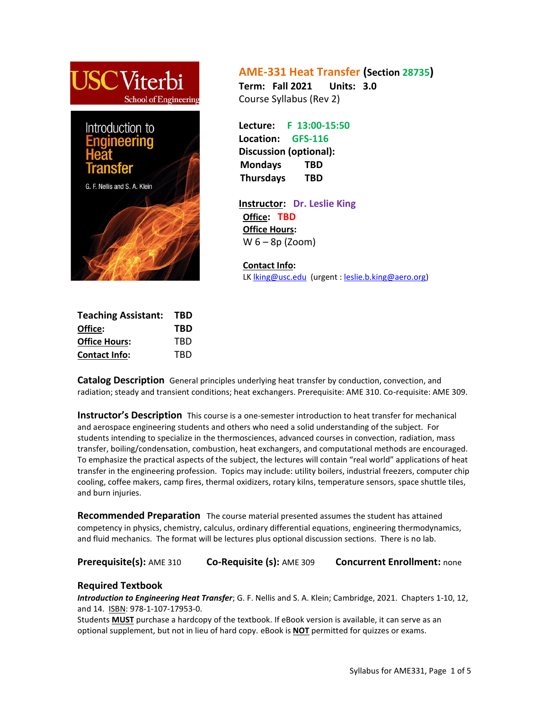

**AME-331 Heat Transfer (Section 28735)**

**Term: Fall 2021 Units: 3.0**  Course Syllabus (Rev 2)

**Lecture: F 13:00-15:50 Location: GFS-116 Discussion (optional): Mondays TBD Thursdays TBD**

**Instructor: Dr. Leslie King Office: TBD Office Hours:**  $W_6 - 8p$  (Zoom)

**Contact Info:** LK [lking@usc.edu](mailto:lking@usc.edu) (urgent : [leslie.b.king@aero.org\)](mailto:leslie.b.king@aero.org)

| <b>Teaching Assistant:</b> | TBD |
|----------------------------|-----|
| Office:                    | TBD |
| <b>Office Hours:</b>       | TRD |
| <b>Contact Info:</b>       | TRD |

**Catalog Description** General principles underlying heat transfer by conduction, convection, and radiation; steady and transient conditions; heat exchangers. Prerequisite: AME 310. Co-requisite: AME 309.

**Instructor's Description** This course is a one-semester introduction to heat transfer for mechanical and aerospace engineering students and others who need a solid understanding of the subject. For students intending to specialize in the thermosciences, advanced courses in convection, radiation, mass transfer, boiling/condensation, combustion, heat exchangers, and computational methods are encouraged. To emphasize the practical aspects of the subject, the lectures will contain "real world" applications of heat transfer in the engineering profession. Topics may include: utility boilers, industrial freezers, computer chip cooling, coffee makers, camp fires, thermal oxidizers, rotary kilns, temperature sensors, space shuttle tiles, and burn injuries.

**Recommended Preparation** The course material presented assumes the student has attained competency in physics, chemistry, calculus, ordinary differential equations, engineering thermodynamics, and fluid mechanics. The format will be lectures plus optional discussion sections. There is no lab.

**Prerequisite(s):** AME 310 **Co-Requisite (s):** AME 309 **Concurrent Enrollment:** none

## **Required Textbook**

*Introduction to Engineering Heat Transfer*; G. F. Nellis and S. A. Klein; Cambridge, 2021. Chapters 1-10, 12, and 14. ISBN: 978-1-107-17953-0.

Students **MUST** purchase a hardcopy of the textbook. If eBook version is available, it can serve as an optional supplement, but not in lieu of hard copy. eBook is **NOT** permitted for quizzes or exams.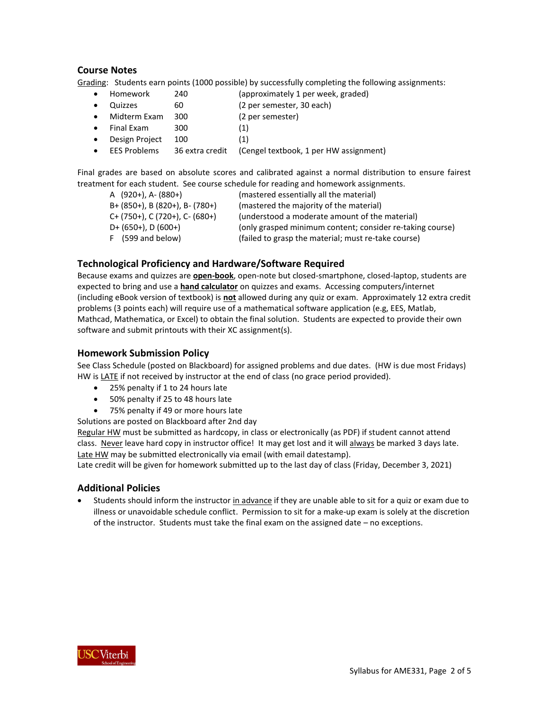### **Course Notes**

Grading: Students earn points (1000 possible) by successfully completing the following assignments:

- Homework 240 (approximately 1 per week, graded)
- Quizzes 60 (2 per semester, 30 each)
- Midterm Exam 300 (2 per semester)
- Final Exam 300 (1)
- Design Project 100 (1)
- EES Problems 36 extra credit (Cengel textbook, 1 per HW assignment)

Final grades are based on absolute scores and calibrated against a normal distribution to ensure fairest treatment for each student. See course schedule for reading and homework assignments.

A (920+), A- (880+) (mastered essentially all the material) B+ (850+), B (820+), B- (780+) (mastered the majority of the material)  $C+$  (750+),  $C$  (720+),  $C-$  (680+) (understood a moderate amount of the material) D+ (650+), D (600+) (only grasped minimum content; consider re-taking course) F (599 and below) (failed to grasp the material; must re-take course)

## **Technological Proficiency and Hardware/Software Required**

Because exams and quizzes are **open-book**, open-note but closed-smartphone, closed-laptop, students are expected to bring and use a **hand calculator** on quizzes and exams. Accessing computers/internet (including eBook version of textbook) is **not** allowed during any quiz or exam. Approximately 12 extra credit problems (3 points each) will require use of a mathematical software application (e.g, EES, Matlab, Mathcad, Mathematica, or Excel) to obtain the final solution. Students are expected to provide their own software and submit printouts with their XC assignment(s).

### **Homework Submission Policy**

See Class Schedule (posted on Blackboard) for assigned problems and due dates. (HW is due most Fridays) HW is LATE if not received by instructor at the end of class (no grace period provided).

- 25% penalty if 1 to 24 hours late
- 50% penalty if 25 to 48 hours late
- 75% penalty if 49 or more hours late
- Solutions are posted on Blackboard after 2nd day

Regular HW must be submitted as hardcopy, in class or electronically (as PDF) if student cannot attend class. Never leave hard copy in instructor office! It may get lost and it will always be marked 3 days late. Late HW may be submitted electronically via email (with email datestamp).

Late credit will be given for homework submitted up to the last day of class (Friday, December 3, 2021)

## **Additional Policies**

Students should inform the instructor in advance if they are unable able to sit for a quiz or exam due to illness or unavoidable schedule conflict. Permission to sit for a make-up exam is solely at the discretion of the instructor. Students must take the final exam on the assigned date – no exceptions.

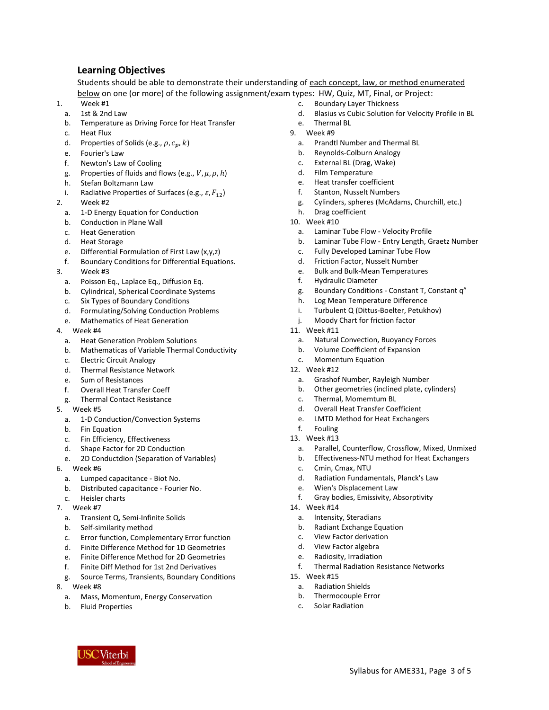# **Learning Objectives**

Students should be able to demonstrate their understanding of each concept, law, or method enumerated below on one (or more) of the following assignment/exam types: HW, Quiz, MT, Final, or Project:

- 1. Week #1
	- a. 1st & 2nd Law
	- b. Temperature as Driving Force for Heat Transfer
	- c. Heat Flux
	- d. Properties of Solids (e.g.,  $\rho$ ,  $c_p$ ,  $k$ )
	- e. Fourier's Law
	- f. Newton's Law of Cooling
	- g. Properties of fluids and flows (e.g.,  $V$ ,  $\mu$ ,  $\rho$ ,  $h$ )
	- h. Stefan Boltzmann Law
	- i. Radiative Properties of Surfaces (e.g.,  $\varepsilon$ ,  $F_{12}$ )
- 2. Week #2
	- a. 1-D Energy Equation for Conduction
	- b. Conduction in Plane Wall
	- c. Heat Generation
	- d. Heat Storage
	- e. Differential Formulation of First Law (x,y,z)
	- f. Boundary Conditions for Differential Equations.
- 3. Week #3
	- a. Poisson Eq., Laplace Eq., Diffusion Eq.
	- b. Cylindrical, Spherical Coordinate Systems
	- c. Six Types of Boundary Conditions
	- d. Formulating/Solving Conduction Problems
	- e. Mathematics of Heat Generation
- 4. Week #4
	- a. Heat Generation Problem Solutions
	- b. Mathematicas of Variable Thermal Conductivity
	- c. Electric Circuit Analogy
	- d. Thermal Resistance Network
	- e. Sum of Resistances
	- f. Overall Heat Transfer Coeff
	- g. Thermal Contact Resistance
- 5. Week #5
	- a. 1-D Conduction/Convection Systems
	- b. Fin Equation
	- c. Fin Efficiency, Effectiveness
	- d. Shape Factor for 2D Conduction
	- e. 2D Conductdion (Separation of Variables)
- 6. Week #6
	- a. Lumped capacitance Biot No.
	- b. Distributed capacitance Fourier No.
	- c. Heisler charts
- 7. Week #7
	- a. Transient Q, Semi-Infinite Solids
	- b. Self-similarity method
	- c. Error function, Complementary Error function
	- d. Finite Difference Method for 1D Geometries
	- e. Finite Difference Method for 2D Geometries
	- f. Finite Diff Method for 1st 2nd Derivatives
	- g. Source Terms, Transients, Boundary Conditions
- 8. Week #8
	- a. Mass, Momentum, Energy Conservation
	- b. Fluid Properties

SCViterbi

- c. Boundary Layer Thickness
- d. Blasius vs Cubic Solution for Velocity Profile in BL
- e. Thermal BL
- 9. Week #9
	- a. Prandtl Number and Thermal BL
	- b. Reynolds-Colburn Analogy
	- c. External BL (Drag, Wake)
	- d. Film Temperature
	- e. Heat transfer coefficient
	- f. Stanton, Nusselt Numbers
	- g. Cylinders, spheres (McAdams, Churchill, etc.)
	- h. Drag coefficient
- 10. Week #10
	- a. Laminar Tube Flow Velocity Profile
	- b. Laminar Tube Flow Entry Length, Graetz Number
	- c. Fully Developed Laminar Tube Flow
	- d. Friction Factor, Nusselt Number
	- e. Bulk and Bulk-Mean Temperatures
	- f. Hydraulic Diameter
	- g. Boundary Conditions Constant T, Constant q"
	- h. Log Mean Temperature Difference
	- i. Turbulent Q (Dittus-Boelter, Petukhov)
	- j. Moody Chart for friction factor
- 11. Week #11
	- a. Natural Convection, Buoyancy Forces
	- b. Volume Coefficient of Expansion
	- c. Momentum Equation
- 12. Week #12
	- a. Grashof Number, Rayleigh Number
	- b. Other geometries (inclined plate, cylinders)
	- c. Thermal, Momemtum BL
	- d. Overall Heat Transfer Coefficient
	- e. LMTD Method for Heat Exchangers
- f. Fouling
- 13. Week #13
	- a. Parallel, Counterflow, Crossflow, Mixed, Unmixed

Syllabus for AME331, Page 3 of 5

- b. Effectiveness-NTU method for Heat Exchangers
- c. Cmin, Cmax, NTU
- d. Radiation Fundamentals, Planck's Law
- e. Wien's Displacement Law
- f. Gray bodies, Emissivity, Absorptivity

f. Thermal Radiation Resistance Networks

14. Week #14

15. Week #15

- a. Intensity, Steradians
- b. Radiant Exchange Equation
- c. View Factor derivation
- d. View Factor algebra e. Radiosity, Irradiation

a. Radiation Shields b. Thermocouple Error c. Solar Radiation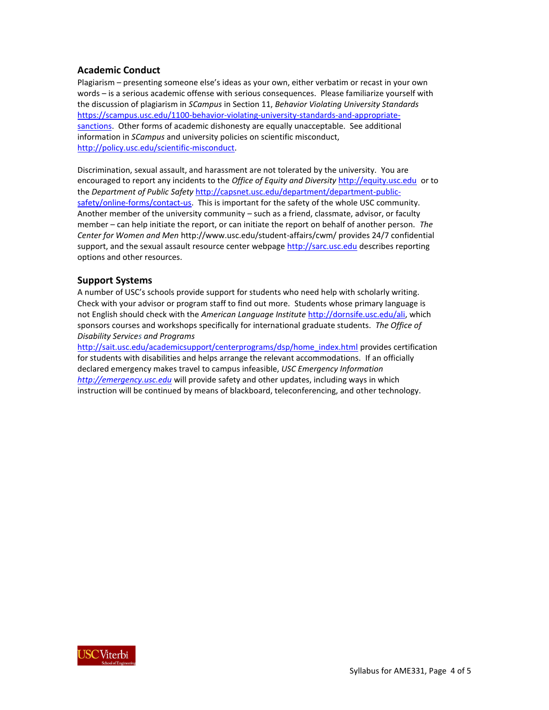### **Academic Conduct**

Plagiarism – presenting someone else's ideas as your own, either verbatim or recast in your own words – is a serious academic offense with serious consequences. Please familiarize yourself with the discussion of plagiarism in *SCampus* in Section 11, *Behavior Violating University Standards* [https://scampus.usc.edu/1100-behavior-violating-university-standards-and-appropriate](https://scampus.usc.edu/1100-behavior-violating-university-standards-and-appropriate-sanctions/)[sanctions.](https://scampus.usc.edu/1100-behavior-violating-university-standards-and-appropriate-sanctions/) Other forms of academic dishonesty are equally unacceptable. See additional information in *SCampus* and university policies on scientific misconduct, [http://policy.usc.edu/scientific-misconduct.](http://policy.usc.edu/scientific-misconduct/)

Discrimination, sexual assault, and harassment are not tolerated by the university. You are encouraged to report any incidents to the *Office of Equity and Diversity* [http://equity.usc.edu](http://equity.usc.edu/) or to the *Department of Public Safety* [http://capsnet.usc.edu/department/department-public](http://capsnet.usc.edu/department/department-public-safety/online-forms/contact-us)[safety/online-forms/contact-us.](http://capsnet.usc.edu/department/department-public-safety/online-forms/contact-us) This is important for the safety of the whole USC community. Another member of the university community – such as a friend, classmate, advisor, or faculty member – can help initiate the report, or can initiate the report on behalf of another person. *The Center for Women and Men* http://www.usc.edu/student-affairs/cwm/ provides 24/7 confidential support, and the sexual assault resource center webpage [http://sarc.usc.edu](http://sarc.usc.edu/) describes reporting options and other resources.

#### **Support Systems**

A number of USC's schools provide support for students who need help with scholarly writing. Check with your advisor or program staff to find out more. Students whose primary language is not English should check with the *American Language Institute* [http://dornsife.usc.edu/ali,](http://dornsife.usc.edu/ali) which sponsors courses and workshops specifically for international graduate students. *The Office of Disability Services and Programs* 

[http://sait.usc.edu/academicsupport/centerprograms/dsp/home\\_index.html](http://sait.usc.edu/academicsupport/centerprograms/dsp/home_index.html) provides certification for students with disabilities and helps arrange the relevant accommodations. If an officially declared emergency makes travel to campus infeasible, *USC Emergency Information [http://emergency.usc.edu](http://emergency.usc.edu/)* will provide safety and other updates, including ways in which instruction will be continued by means of blackboard, teleconferencing, and other technology.